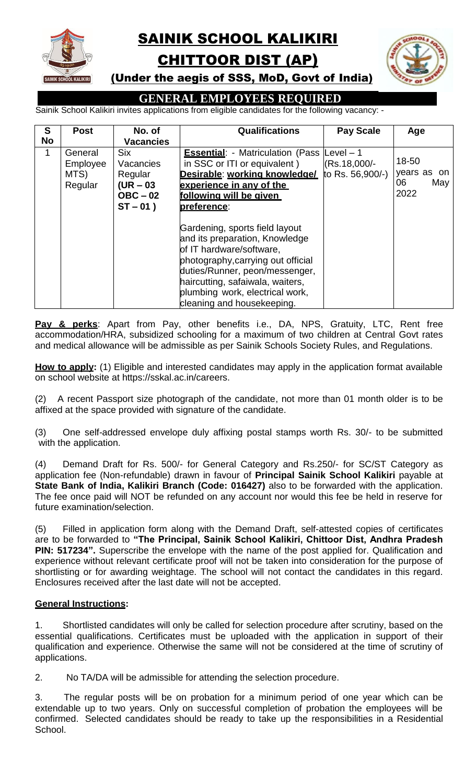

# SAINIK SCHOOL KALIKIRI CHITTOOR DIST (AP)



(Under the aegis of SSS, MoD, Govt of India)

## **GENERAL EMPLOYEES REQUIRED**

Sainik School Kalikiri invites applications from eligible candidates for the following vacancy: -

| S         | <b>Post</b>                            | No. of                                                                         | <b>Qualifications</b>                                                                                                                                                                                                                                                     | <b>Pay Scale</b>                 | Age                                       |
|-----------|----------------------------------------|--------------------------------------------------------------------------------|---------------------------------------------------------------------------------------------------------------------------------------------------------------------------------------------------------------------------------------------------------------------------|----------------------------------|-------------------------------------------|
| <b>No</b> |                                        | <b>Vacancies</b>                                                               |                                                                                                                                                                                                                                                                           |                                  |                                           |
| 1         | General<br>Employee<br>MTS)<br>Regular | <b>Six</b><br>Vacancies<br>Regular<br>$(UR - 03)$<br>$OBC - 02$<br>$ST - 01$ ) | <b>Essential:</b> - Matriculation (Pass Level $-1$<br>in SSC or ITI or equivalent)<br>Desirable: working knowledge/<br>experience in any of the<br>following will be given<br>preference:                                                                                 | (Rs.18,000/-<br>to Rs. 56,900/-) | 18-50<br>years as on<br>06<br>May<br>2022 |
|           |                                        |                                                                                | Gardening, sports field layout<br>and its preparation, Knowledge<br>of IT hardware/software,<br>photography, carrying out official<br>duties/Runner, peon/messenger,<br>haircutting, safaiwala, waiters,<br>plumbing work, electrical work,<br>cleaning and housekeeping. |                                  |                                           |

**Pay & perks**: Apart from Pay, other benefits i.e., DA, NPS, Gratuity, LTC, Rent free accommodation/HRA, subsidized schooling for a maximum of two children at Central Govt rates and medical allowance will be admissible as per Sainik Schools Society Rules, and Regulations.

How to apply: (1) Eligible and interested candidates may apply in the application format available on school website at https://sskal.ac.in/careers.

(2) A recent Passport size photograph of the candidate, not more than 01 month older is to be affixed at the space provided with signature of the candidate.

(3) One self-addressed envelope duly affixing postal stamps worth Rs. 30/- to be submitted with the application.

(4) Demand Draft for Rs. 500/- for General Category and Rs.250/- for SC/ST Category as application fee (Non-refundable) drawn in favour of **Principal Sainik School Kalikiri** payable at **State Bank of India, Kalikiri Branch (Code: 016427)** also to be forwarded with the application. The fee once paid will NOT be refunded on any account nor would this fee be held in reserve for future examination/selection.

(5) Filled in application form along with the Demand Draft, self-attested copies of certificates are to be forwarded to **"The Principal, Sainik School Kalikiri, Chittoor Dist, Andhra Pradesh PIN: 517234".** Superscribe the envelope with the name of the post applied for. Qualification and experience without relevant certificate proof will not be taken into consideration for the purpose of shortlisting or for awarding weightage. The school will not contact the candidates in this regard. Enclosures received after the last date will not be accepted.

## **General Instructions:**

1. Shortlisted candidates will only be called for selection procedure after scrutiny, based on the essential qualifications. Certificates must be uploaded with the application in support of their qualification and experience. Otherwise the same will not be considered at the time of scrutiny of applications.

2. No TA/DA will be admissible for attending the selection procedure.

3. The regular posts will be on probation for a minimum period of one year which can be extendable up to two years. Only on successful completion of probation the employees will be confirmed. Selected candidates should be ready to take up the responsibilities in a Residential School.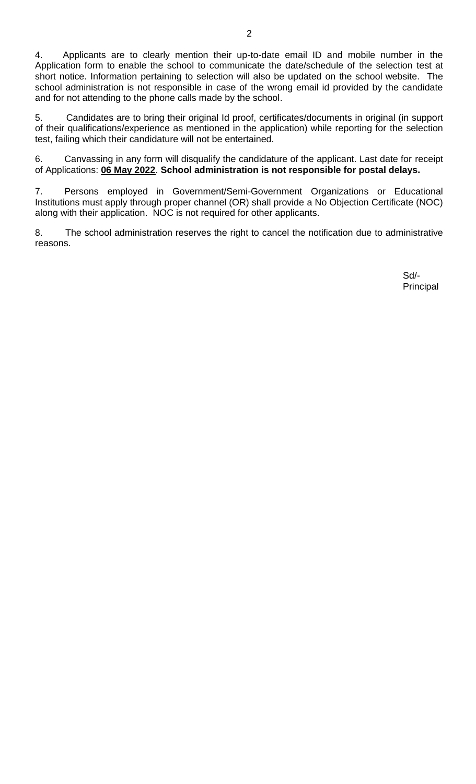5. Candidates are to bring their original Id proof, certificates/documents in original (in support of their qualifications/experience as mentioned in the application) while reporting for the selection test, failing which their candidature will not be entertained.

6. Canvassing in any form will disqualify the candidature of the applicant. Last date for receipt of Applications: **06 May 2022**. **School administration is not responsible for postal delays.**

7. Persons employed in Government/Semi-Government Organizations or Educational Institutions must apply through proper channel (OR) shall provide a No Objection Certificate (NOC) along with their application. NOC is not required for other applicants.

8. The school administration reserves the right to cancel the notification due to administrative reasons.

> Sd/- Principal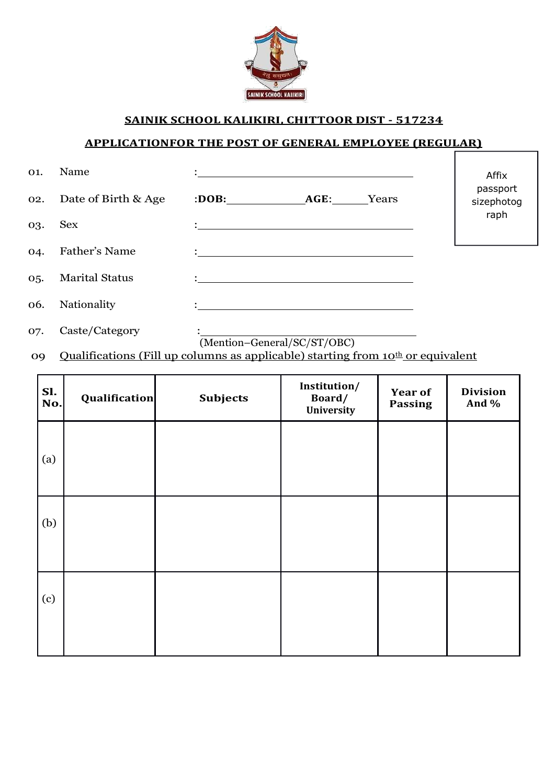

### **SAINIK SCHOOL KALIKIRI, CHITTOOR DIST - 517234**

#### **APPLICATIONFOR THE POST OF GENERAL EMPLOYEE (REGULAR)**

| O1. | Name                  |                                                                                                                                                                                                                                      |       | Affix                  |
|-----|-----------------------|--------------------------------------------------------------------------------------------------------------------------------------------------------------------------------------------------------------------------------------|-------|------------------------|
| 02. | Date of Birth & Age   | :DOB: AGE:                                                                                                                                                                                                                           | Years | passport<br>sizephotog |
| 03. | <b>Sex</b>            | $\ddot{\cdot}$ , and the contract of the contract of the contract of the contract of the contract of the contract of the contract of the contract of the contract of the contract of the contract of the contract of the contract o  |       | raph                   |
| 04. | <b>Father's Name</b>  |                                                                                                                                                                                                                                      |       |                        |
| 05. | <b>Marital Status</b> |                                                                                                                                                                                                                                      |       |                        |
| 06. | Nationality           | <u> : a construction de la construction de la construction de la construction de la construction de la construction de la construction de la construction de la construction de la construction de la construction de la constru</u> |       |                        |
| O7. | Caste/Category        |                                                                                                                                                                                                                                      |       |                        |

(Mention–General/SC/ST/OBC)

09 Qualifications (Fill up columns as applicable) starting from 10<sup>th</sup> or equivalent

| Sl.<br>No. | Qualification | <b>Subjects</b> | Institution/<br>Board/<br>University | <b>Year of</b><br><b>Passing</b> | <b>Division</b><br>And % |
|------------|---------------|-----------------|--------------------------------------|----------------------------------|--------------------------|
| (a)        |               |                 |                                      |                                  |                          |
| (b)        |               |                 |                                      |                                  |                          |
| (c)        |               |                 |                                      |                                  |                          |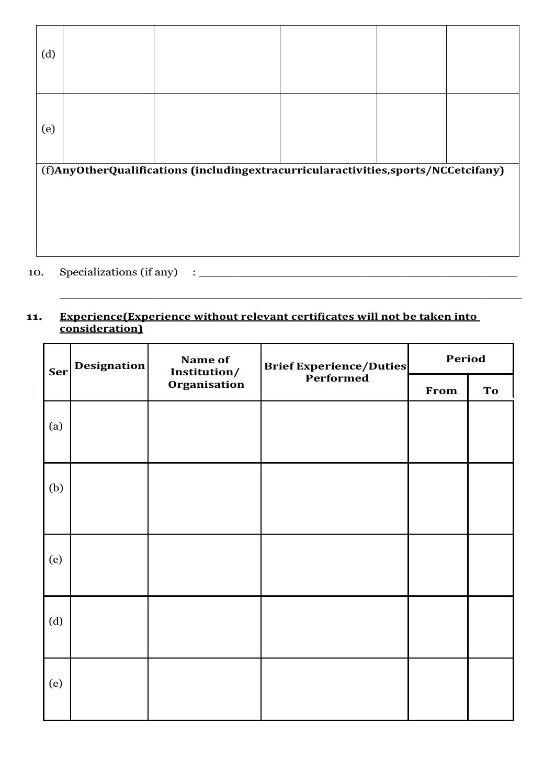| (d)                                                                               |  |  |  |  |  |  |
|-----------------------------------------------------------------------------------|--|--|--|--|--|--|
| (e)                                                                               |  |  |  |  |  |  |
| (f)AnyOtherQualifications (includingextracurricularactivities,sports/NCCetcifany) |  |  |  |  |  |  |
| Specializations (if any)<br>10.                                                   |  |  |  |  |  |  |

#### **11. Experience(Experience without relevant certificates will not be taken into consideration)**

 $\_$  , and the set of the set of the set of the set of the set of the set of the set of the set of the set of the set of the set of the set of the set of the set of the set of the set of the set of the set of the set of th

| Ser | Name of<br><b>Designation</b><br>Institution/ | <b>Brief Experience/Duties</b> | Period                   |  |    |
|-----|-----------------------------------------------|--------------------------------|--------------------------|--|----|
|     |                                               | Organisation                   | <b>Performed</b><br>From |  | To |
| (a) |                                               |                                |                          |  |    |
| (b) |                                               |                                |                          |  |    |
| (c) |                                               |                                |                          |  |    |
| (d) |                                               |                                |                          |  |    |
| (e) |                                               |                                |                          |  |    |